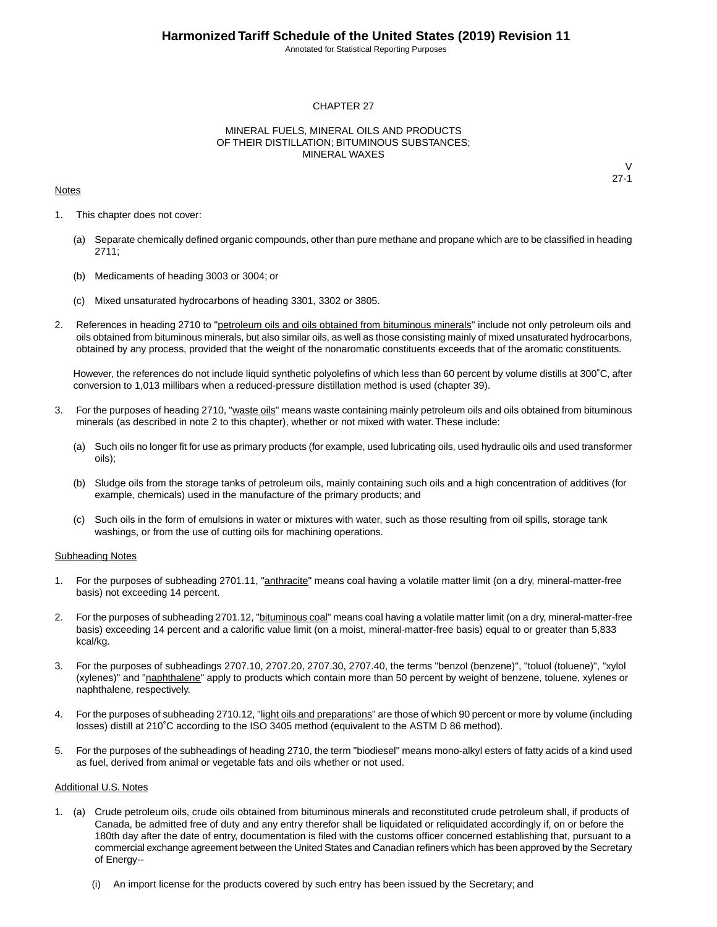Annotated for Statistical Reporting Purposes

#### CHAPTER 27

#### MINERAL FUELS, MINERAL OILS AND PRODUCTS OF THEIR DISTILLATION; BITUMINOUS SUBSTANCES; MINERAL WAXES

#### **Notes**

 $\vee$ 27-1

- 1. This chapter does not cover:
	- (a) Separate chemically defined organic compounds, other than pure methane and propane which are to be classified in heading 2711;
	- (b) Medicaments of heading 3003 or 3004; or
	- (c) Mixed unsaturated hydrocarbons of heading 3301, 3302 or 3805.
- 2. References in heading 2710 to "petroleum oils and oils obtained from bituminous minerals" include not only petroleum oils and oils obtained from bituminous minerals, but also similar oils, as well as those consisting mainly of mixed unsaturated hydrocarbons, obtained by any process, provided that the weight of the nonaromatic constituents exceeds that of the aromatic constituents.

However, the references do not include liquid synthetic polyolefins of which less than 60 percent by volume distills at 300˚C, after conversion to 1,013 millibars when a reduced-pressure distillation method is used (chapter 39).

- 3. For the purposes of heading 2710, "waste oils" means waste containing mainly petroleum oils and oils obtained from bituminous minerals (as described in note 2 to this chapter), whether or not mixed with water. These include:
	- (a) Such oils no longer fit for use as primary products (for example, used lubricating oils, used hydraulic oils and used transformer oils);
	- (b) Sludge oils from the storage tanks of petroleum oils, mainly containing such oils and a high concentration of additives (for example, chemicals) used in the manufacture of the primary products; and
	- (c) Such oils in the form of emulsions in water or mixtures with water, such as those resulting from oil spills, storage tank washings, or from the use of cutting oils for machining operations.

#### Subheading Notes

- 1. For the purposes of subheading 2701.11, "anthracite" means coal having a volatile matter limit (on a dry, mineral-matter-free basis) not exceeding 14 percent.
- 2. For the purposes of subheading 2701.12, "bituminous coal" means coal having a volatile matter limit (on a dry, mineral-matter-free basis) exceeding 14 percent and a calorific value limit (on a moist, mineral-matter-free basis) equal to or greater than 5,833 kcal/kg.
- 3. For the purposes of subheadings 2707.10, 2707.20, 2707.30, 2707.40, the terms "benzol (benzene)", "toluol (toluene)", "xylol (xylenes)" and "naphthalene" apply to products which contain more than 50 percent by weight of benzene, toluene, xylenes or naphthalene, respectively.
- 4. For the purposes of subheading 2710.12, "light oils and preparations" are those of which 90 percent or more by volume (including losses) distill at 210˚C according to the ISO 3405 method (equivalent to the ASTM D 86 method).
- 5. For the purposes of the subheadings of heading 2710, the term "biodiesel" means mono-alkyl esters of fatty acids of a kind used as fuel, derived from animal or vegetable fats and oils whether or not used.

#### Additional U.S. Notes

- 1. (a) Crude petroleum oils, crude oils obtained from bituminous minerals and reconstituted crude petroleum shall, if products of Canada, be admitted free of duty and any entry therefor shall be liquidated or reliquidated accordingly if, on or before the 180th day after the date of entry, documentation is filed with the customs officer concerned establishing that, pursuant to a commercial exchange agreement between the United States and Canadian refiners which has been approved by the Secretary of Energy--
	- (i) An import license for the products covered by such entry has been issued by the Secretary; and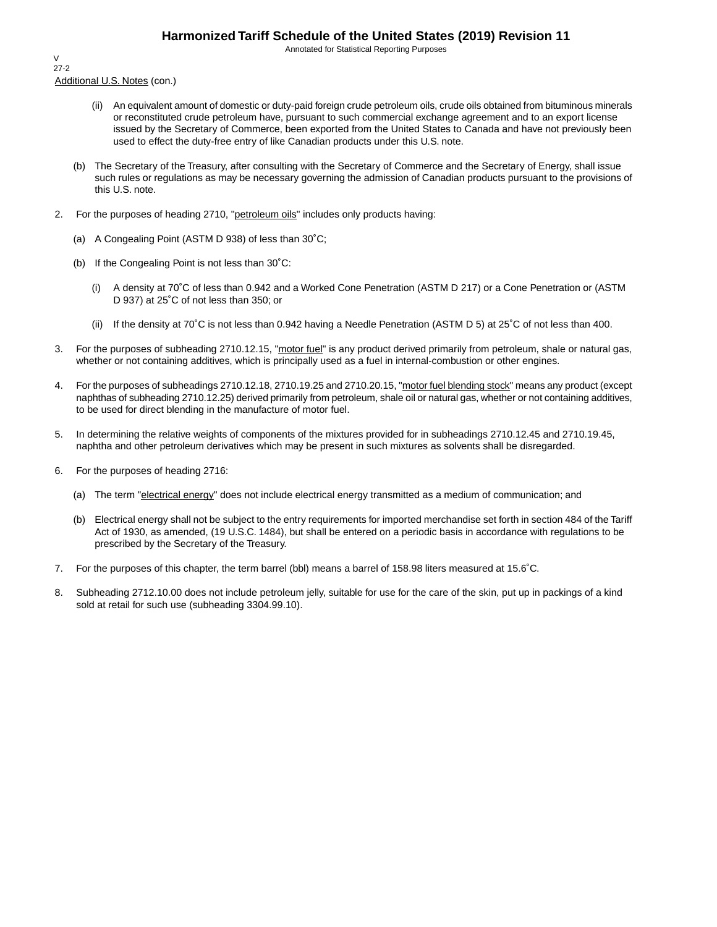Annotated for Statistical Reporting Purposes

Additional U.S. Notes (con.) V 27-2

- (ii) An equivalent amount of domestic or duty-paid foreign crude petroleum oils, crude oils obtained from bituminous minerals or reconstituted crude petroleum have, pursuant to such commercial exchange agreement and to an export license issued by the Secretary of Commerce, been exported from the United States to Canada and have not previously been used to effect the duty-free entry of like Canadian products under this U.S. note.
- (b) The Secretary of the Treasury, after consulting with the Secretary of Commerce and the Secretary of Energy, shall issue such rules or regulations as may be necessary governing the admission of Canadian products pursuant to the provisions of this U.S. note.
- 2. For the purposes of heading 2710, "petroleum oils" includes only products having:
	- (a) A Congealing Point (ASTM D 938) of less than 30˚C;
	- (b) If the Congealing Point is not less than 30˚C:
		- (i) A density at 70˚C of less than 0.942 and a Worked Cone Penetration (ASTM D 217) or a Cone Penetration or (ASTM D 937) at 25˚C of not less than 350; or
		- (ii) If the density at 70˚C is not less than 0.942 having a Needle Penetration (ASTM D 5) at 25˚C of not less than 400.
- 3. For the purposes of subheading 2710.12.15, "motor fuel" is any product derived primarily from petroleum, shale or natural gas, whether or not containing additives, which is principally used as a fuel in internal-combustion or other engines.
- 4. For the purposes of subheadings 2710.12.18, 2710.19.25 and 2710.20.15, "motor fuel blending stock" means any product (except naphthas of subheading 2710.12.25) derived primarily from petroleum, shale oil or natural gas, whether or not containing additives, to be used for direct blending in the manufacture of motor fuel.
- 5. In determining the relative weights of components of the mixtures provided for in subheadings 2710.12.45 and 2710.19.45, naphtha and other petroleum derivatives which may be present in such mixtures as solvents shall be disregarded.
- 6. For the purposes of heading 2716:
	- (a) The term "electrical energy" does not include electrical energy transmitted as a medium of communication; and
	- (b) Electrical energy shall not be subject to the entry requirements for imported merchandise set forth in section 484 of the Tariff Act of 1930, as amended, (19 U.S.C. 1484), but shall be entered on a periodic basis in accordance with regulations to be prescribed by the Secretary of the Treasury.
- 7. For the purposes of this chapter, the term barrel (bbl) means a barrel of 158.98 liters measured at 15.6˚C.
- 8. Subheading 2712.10.00 does not include petroleum jelly, suitable for use for the care of the skin, put up in packings of a kind sold at retail for such use (subheading 3304.99.10).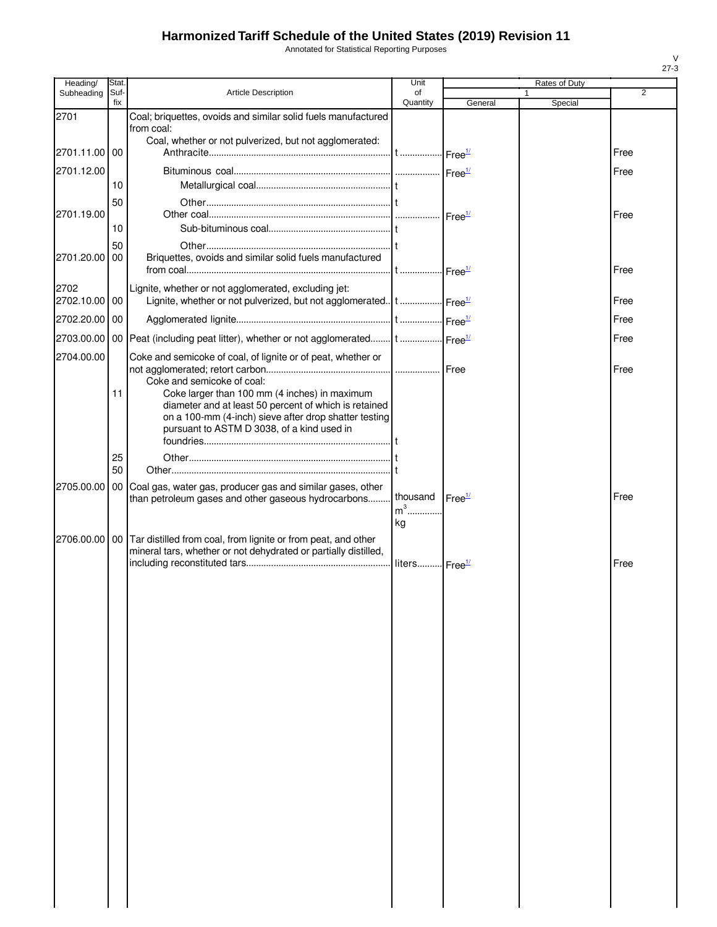Annotated for Statistical Reporting Purposes

| Heading/      | Stat.           |                                                                                                        | Unit              |         | Rates of Duty |                |
|---------------|-----------------|--------------------------------------------------------------------------------------------------------|-------------------|---------|---------------|----------------|
| Subheading    | Suf-<br>fix     | <b>Article Description</b>                                                                             | of<br>Quantity    | General | 1<br>Special  | $\overline{2}$ |
| 2701          |                 | Coal; briquettes, ovoids and similar solid fuels manufactured                                          |                   |         |               |                |
|               |                 | from coal:                                                                                             |                   |         |               |                |
| 2701.11.00 00 |                 | Coal, whether or not pulverized, but not agglomerated:                                                 |                   |         |               | Free           |
| 2701.12.00    |                 |                                                                                                        |                   |         |               | Free           |
|               | 10              |                                                                                                        |                   |         |               |                |
|               | 50              |                                                                                                        |                   |         |               |                |
| 2701.19.00    |                 |                                                                                                        |                   |         |               | Free           |
|               | 10              |                                                                                                        |                   |         |               |                |
|               | 50              |                                                                                                        |                   |         |               |                |
| 2701.20.00    | 00              | Briquettes, ovoids and similar solid fuels manufactured                                                |                   |         |               | Free           |
| 2702          |                 | Lignite, whether or not agglomerated, excluding jet:                                                   |                   |         |               |                |
| 2702.10.00 00 |                 | Lignite, whether or not pulverized, but not agglomerated t  Free <sup>14</sup>                         |                   |         |               | Free           |
| 2702.20.00 00 |                 |                                                                                                        |                   |         |               | Free           |
| 2703.00.00    |                 |                                                                                                        |                   |         |               | Free           |
|               |                 |                                                                                                        |                   |         |               |                |
| 2704.00.00    |                 | Coke and semicoke of coal, of lignite or of peat, whether or                                           |                   |         |               | Free           |
|               |                 | Coke and semicoke of coal:                                                                             |                   |         |               |                |
|               | 11              | Coke larger than 100 mm (4 inches) in maximum<br>diameter and at least 50 percent of which is retained |                   |         |               |                |
|               |                 | on a 100-mm (4-inch) sieve after drop shatter testing                                                  |                   |         |               |                |
|               |                 | pursuant to ASTM D 3038, of a kind used in                                                             |                   |         |               |                |
|               |                 |                                                                                                        |                   |         |               |                |
|               | 25<br>50        |                                                                                                        |                   |         |               |                |
| 2705.00.00    | 00 <sub>1</sub> | Coal gas, water gas, producer gas and similar gases, other                                             |                   |         |               |                |
|               |                 | than petroleum gases and other gaseous hydrocarbons                                                    | thousand $Free1/$ |         |               | Free           |
|               |                 |                                                                                                        | $m^3$<br>kg       |         |               |                |
| 2706.00.00    |                 | 00 Tar distilled from coal, from lignite or from peat, and other                                       |                   |         |               |                |
|               |                 | mineral tars, whether or not dehydrated or partially distilled,                                        |                   |         |               |                |
|               |                 |                                                                                                        |                   |         |               | Free           |
|               |                 |                                                                                                        |                   |         |               |                |
|               |                 |                                                                                                        |                   |         |               |                |
|               |                 |                                                                                                        |                   |         |               |                |
|               |                 |                                                                                                        |                   |         |               |                |
|               |                 |                                                                                                        |                   |         |               |                |
|               |                 |                                                                                                        |                   |         |               |                |
|               |                 |                                                                                                        |                   |         |               |                |
|               |                 |                                                                                                        |                   |         |               |                |
|               |                 |                                                                                                        |                   |         |               |                |
|               |                 |                                                                                                        |                   |         |               |                |
|               |                 |                                                                                                        |                   |         |               |                |
|               |                 |                                                                                                        |                   |         |               |                |
|               |                 |                                                                                                        |                   |         |               |                |
|               |                 |                                                                                                        |                   |         |               |                |
|               |                 |                                                                                                        |                   |         |               |                |
|               |                 |                                                                                                        |                   |         |               |                |
|               |                 |                                                                                                        |                   |         |               |                |
|               |                 |                                                                                                        |                   |         |               |                |
|               |                 |                                                                                                        |                   |         |               |                |
|               |                 |                                                                                                        |                   |         |               |                |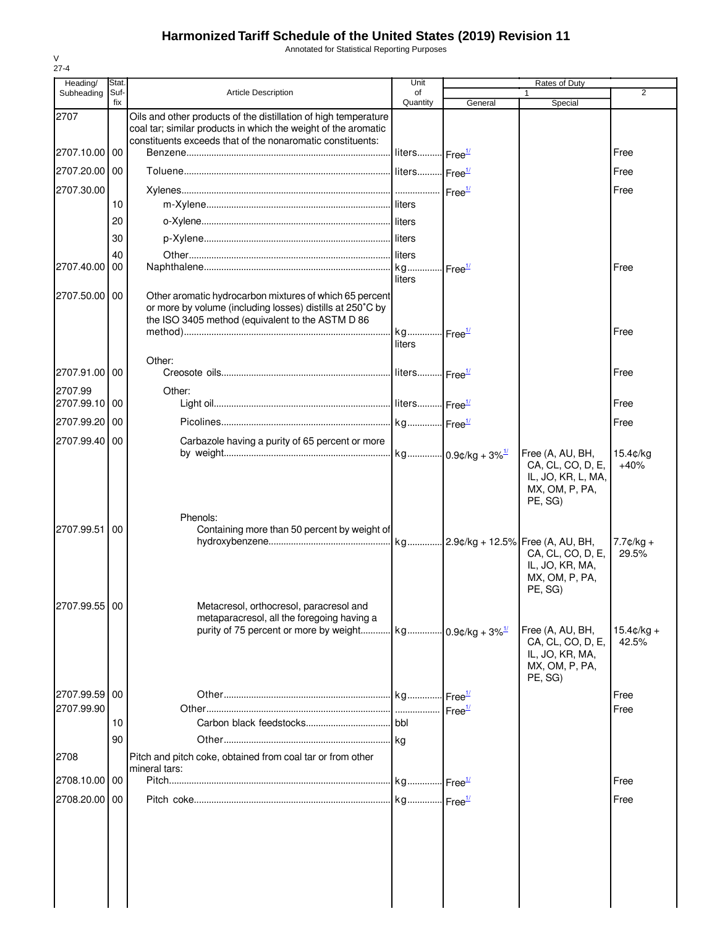Annotated for Statistical Reporting Purposes

| Heading/                 | Stat.       |                                                                                                                                                                                                 | Unit                      |         | Rates of Duty                                                                            |                               |
|--------------------------|-------------|-------------------------------------------------------------------------------------------------------------------------------------------------------------------------------------------------|---------------------------|---------|------------------------------------------------------------------------------------------|-------------------------------|
| Subheading               | Suf-<br>fix | <b>Article Description</b>                                                                                                                                                                      | of<br>Quantity            | General | $\mathbf{1}$<br>Special                                                                  | $\overline{2}$                |
| 2707                     |             | Oils and other products of the distillation of high temperature<br>coal tar; similar products in which the weight of the aromatic<br>constituents exceeds that of the nonaromatic constituents: |                           |         |                                                                                          |                               |
| 2707.10.00 00            |             |                                                                                                                                                                                                 | liters Free <sup>1/</sup> |         |                                                                                          | Free                          |
| 2707.20.00 00            |             |                                                                                                                                                                                                 |                           |         |                                                                                          | Free                          |
| 2707.30.00               |             |                                                                                                                                                                                                 |                           |         |                                                                                          | Free                          |
|                          | 10          |                                                                                                                                                                                                 |                           |         |                                                                                          |                               |
|                          | 20          |                                                                                                                                                                                                 |                           |         |                                                                                          |                               |
|                          | 30          |                                                                                                                                                                                                 |                           |         |                                                                                          |                               |
|                          | 40          |                                                                                                                                                                                                 |                           |         |                                                                                          |                               |
| 2707.40.00               | 00          |                                                                                                                                                                                                 |                           |         |                                                                                          | Free                          |
| 2707.50.00 00            |             | Other aromatic hydrocarbon mixtures of which 65 percent<br>or more by volume (including losses) distills at 250°C by<br>the ISO 3405 method (equivalent to the ASTM D 86                        | liters<br>liters          |         |                                                                                          | Free                          |
|                          |             | Other:                                                                                                                                                                                          |                           |         |                                                                                          |                               |
| 2707.91.00 00            |             |                                                                                                                                                                                                 |                           |         |                                                                                          | Free                          |
| 2707.99<br>2707.99.10 00 |             | Other:                                                                                                                                                                                          |                           |         |                                                                                          | Free                          |
| 2707.99.20 00            |             |                                                                                                                                                                                                 |                           |         |                                                                                          | Free                          |
| 2707.99.40 00            |             | Carbazole having a purity of 65 percent or more                                                                                                                                                 |                           |         |                                                                                          |                               |
|                          |             |                                                                                                                                                                                                 |                           |         | Free (A, AU, BH,<br>CA, CL, CO, D, E,<br>IL, JO, KR, L, MA,<br>MX, OM, P, PA,<br>PE, SG) | 15.4¢/kg<br>$+40%$            |
| 2707.99.51 00            |             | Phenols:<br>Containing more than 50 percent by weight of                                                                                                                                        |                           |         | CA, CL, CO, D, E,<br>IL, JO, KR, MA,<br>MX, OM, P, PA,<br>PE, SG)                        | $7.7 \text{C/kg} +$<br>29.5%  |
| 2707.99.55 00            |             | Metacresol, orthocresol, paracresol and<br>metaparacresol, all the foregoing having a<br>purity of 75 percent or more by weight   kg   0.9¢/kg + 3% $\frac{1}{2}$                               |                           |         | Free (A, AU, BH,<br>CA, CL, CO, D, E,<br>IL, JO, KR, MA,<br>MX, OM, P, PA,<br>PE, SG)    | $15.4 \text{c/kg} +$<br>42.5% |
| 2707.99.59 00            |             |                                                                                                                                                                                                 |                           |         |                                                                                          | Free                          |
| 2707.99.90               |             |                                                                                                                                                                                                 |                           |         |                                                                                          | Free                          |
|                          | 10          |                                                                                                                                                                                                 |                           |         |                                                                                          |                               |
|                          | 90          |                                                                                                                                                                                                 |                           |         |                                                                                          |                               |
| 2708                     |             | Pitch and pitch coke, obtained from coal tar or from other<br>mineral tars:                                                                                                                     |                           |         |                                                                                          |                               |
| 2708.10.00 00            |             |                                                                                                                                                                                                 |                           |         |                                                                                          | Free                          |
| 2708.20.00 00            |             |                                                                                                                                                                                                 |                           |         |                                                                                          | Free                          |
|                          |             |                                                                                                                                                                                                 |                           |         |                                                                                          |                               |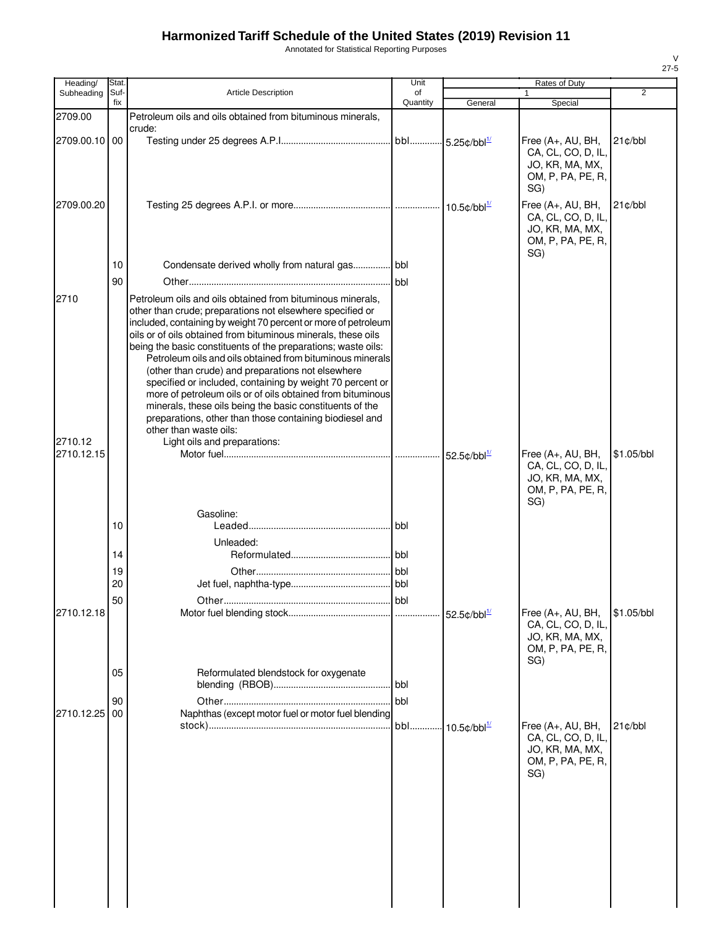Annotated for Statistical Reporting Purposes

| Heading/      | Stat.       |                                                                                                                                                                                                                                                                                                                                                                                                                                                                                                                                                                                                                                      | Unit           |                            | Rates of Duty                                                                          |                     |
|---------------|-------------|--------------------------------------------------------------------------------------------------------------------------------------------------------------------------------------------------------------------------------------------------------------------------------------------------------------------------------------------------------------------------------------------------------------------------------------------------------------------------------------------------------------------------------------------------------------------------------------------------------------------------------------|----------------|----------------------------|----------------------------------------------------------------------------------------|---------------------|
| Subheading    | Suf-<br>fix | <b>Article Description</b>                                                                                                                                                                                                                                                                                                                                                                                                                                                                                                                                                                                                           | of<br>Quantity | General                    | Special                                                                                | $\overline{2}$      |
| 2709.00       |             | Petroleum oils and oils obtained from bituminous minerals,                                                                                                                                                                                                                                                                                                                                                                                                                                                                                                                                                                           |                |                            |                                                                                        |                     |
| 2709.00.10 00 |             | crude:                                                                                                                                                                                                                                                                                                                                                                                                                                                                                                                                                                                                                               |                |                            | Free (A+, AU, BH,<br>CA, CL, CO, D, IL,<br>JO, KR, MA, MX,<br>OM, P, PA, PE, R,<br>SG) | 21c/bbl             |
| 2709.00.20    |             |                                                                                                                                                                                                                                                                                                                                                                                                                                                                                                                                                                                                                                      |                |                            | Free (A+, AU, BH,<br>CA, CL, CO, D, IL,<br>JO, KR, MA, MX,<br>OM, P, PA, PE, R,<br>SG) | 21c/bbl             |
|               | 10          |                                                                                                                                                                                                                                                                                                                                                                                                                                                                                                                                                                                                                                      |                |                            |                                                                                        |                     |
| 2710          | 90          | Petroleum oils and oils obtained from bituminous minerals,<br>other than crude; preparations not elsewhere specified or<br>included, containing by weight 70 percent or more of petroleum<br>oils or of oils obtained from bituminous minerals, these oils<br>being the basic constituents of the preparations; waste oils:<br>Petroleum oils and oils obtained from bituminous minerals<br>(other than crude) and preparations not elsewhere<br>specified or included, containing by weight 70 percent or<br>more of petroleum oils or of oils obtained from bituminous<br>minerals, these oils being the basic constituents of the | bbl            |                            |                                                                                        |                     |
|               |             | preparations, other than those containing biodiesel and<br>other than waste oils:                                                                                                                                                                                                                                                                                                                                                                                                                                                                                                                                                    |                |                            |                                                                                        |                     |
| 2710.12       |             | Light oils and preparations:                                                                                                                                                                                                                                                                                                                                                                                                                                                                                                                                                                                                         |                |                            |                                                                                        |                     |
| 2710.12.15    |             |                                                                                                                                                                                                                                                                                                                                                                                                                                                                                                                                                                                                                                      |                | $52.5$ ¢/bbl $^{1/2}$      | Free (A+, AU, BH,<br>CA, CL, CO, D, IL,<br>JO, KR, MA, MX,<br>OM, P, PA, PE, R,<br>SG) | \$1.05/bbl          |
|               | 10          | Gasoline:<br>Unleaded:                                                                                                                                                                                                                                                                                                                                                                                                                                                                                                                                                                                                               | <b>bbl</b>     |                            |                                                                                        |                     |
|               | 14          |                                                                                                                                                                                                                                                                                                                                                                                                                                                                                                                                                                                                                                      |                |                            |                                                                                        |                     |
|               | 19<br>20    |                                                                                                                                                                                                                                                                                                                                                                                                                                                                                                                                                                                                                                      |                |                            |                                                                                        |                     |
|               | 50          |                                                                                                                                                                                                                                                                                                                                                                                                                                                                                                                                                                                                                                      | bbl            |                            |                                                                                        |                     |
| 2710.12.18    |             |                                                                                                                                                                                                                                                                                                                                                                                                                                                                                                                                                                                                                                      |                | $52.5$ ¢/bbl $\frac{1}{2}$ | Free (A+, AU, BH,<br>CA, CL, CO, D, IL,<br>JO, KR, MA, MX,<br>OM, P, PA, PE, R,<br>SG) | \$1.05/bbl          |
|               | 05          | Reformulated blendstock for oxygenate                                                                                                                                                                                                                                                                                                                                                                                                                                                                                                                                                                                                | l bbl          |                            |                                                                                        |                     |
| 2710.12.25    | 90<br>00    | Naphthas (except motor fuel or motor fuel blending                                                                                                                                                                                                                                                                                                                                                                                                                                                                                                                                                                                   | bbl<br>bbl     | $10.5$ ¢/bbl $\frac{1}{2}$ | Free (A+, AU, BH,                                                                      | $21$ $\text{c/bbl}$ |
|               |             |                                                                                                                                                                                                                                                                                                                                                                                                                                                                                                                                                                                                                                      |                |                            | CA, CL, CO, D, IL,<br>JO, KR, MA, MX,<br>OM, P, PA, PE, R,<br>SG)                      |                     |
|               |             |                                                                                                                                                                                                                                                                                                                                                                                                                                                                                                                                                                                                                                      |                |                            |                                                                                        |                     |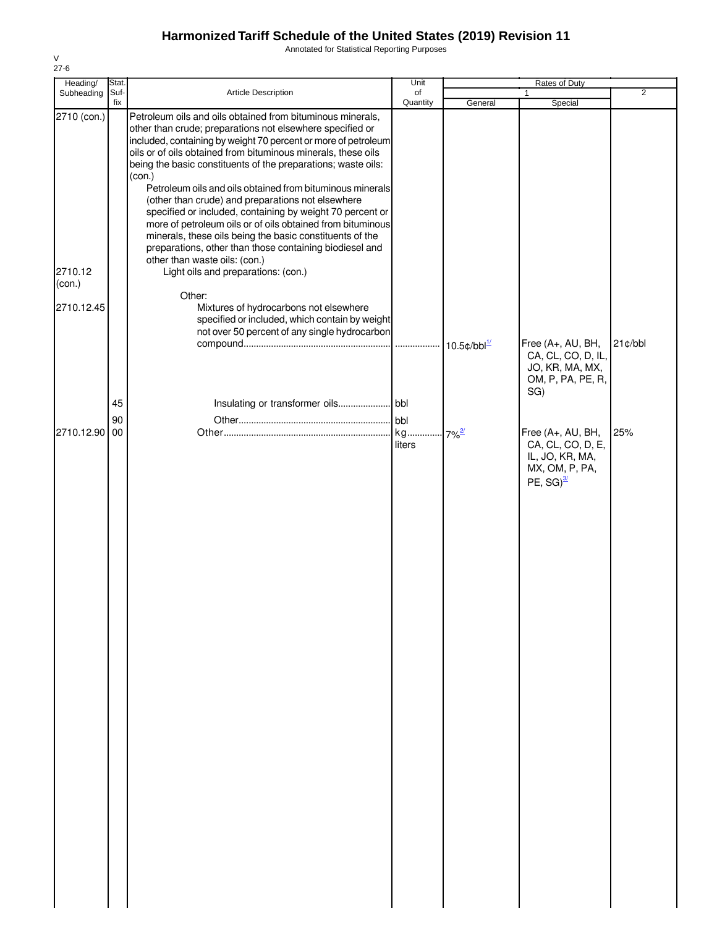Annotated for Statistical Reporting Purposes

| Heading/    | Stat. |                                                                                                                                                                                                                                                                                                       | Unit     |                           | Rates of Duty                                                                   |                |
|-------------|-------|-------------------------------------------------------------------------------------------------------------------------------------------------------------------------------------------------------------------------------------------------------------------------------------------------------|----------|---------------------------|---------------------------------------------------------------------------------|----------------|
| Subheading  | Suf-  | Article Description                                                                                                                                                                                                                                                                                   | of       |                           | 1                                                                               | $\overline{2}$ |
| 2710 (con.) | fix   | Petroleum oils and oils obtained from bituminous minerals,<br>other than crude; preparations not elsewhere specified or<br>included, containing by weight 70 percent or more of petroleum                                                                                                             | Quantity | General                   | Special                                                                         |                |
|             |       | oils or of oils obtained from bituminous minerals, these oils<br>being the basic constituents of the preparations; waste oils:<br>(con.)                                                                                                                                                              |          |                           |                                                                                 |                |
|             |       | Petroleum oils and oils obtained from bituminous minerals<br>(other than crude) and preparations not elsewhere<br>specified or included, containing by weight 70 percent or<br>more of petroleum oils or of oils obtained from bituminous<br>minerals, these oils being the basic constituents of the |          |                           |                                                                                 |                |
| 2710.12     |       | preparations, other than those containing biodiesel and<br>other than waste oils: (con.)<br>Light oils and preparations: (con.)                                                                                                                                                                       |          |                           |                                                                                 |                |
| (con.)      |       |                                                                                                                                                                                                                                                                                                       |          |                           |                                                                                 |                |
| 2710.12.45  |       | Other:<br>Mixtures of hydrocarbons not elsewhere<br>specified or included, which contain by weight<br>not over 50 percent of any single hydrocarbon                                                                                                                                                   |          |                           |                                                                                 |                |
|             |       |                                                                                                                                                                                                                                                                                                       |          | $10.5 \text{c/bbl}^{1/2}$ | Free (A+, AU, BH,<br>CA, CL, CO, D, IL,<br>JO, KR, MA, MX,<br>OM, P, PA, PE, R, | 21¢/bbl        |
|             | 45    |                                                                                                                                                                                                                                                                                                       |          |                           | SG)                                                                             |                |
|             |       |                                                                                                                                                                                                                                                                                                       |          |                           |                                                                                 |                |
| 2710.12.90  | 00    |                                                                                                                                                                                                                                                                                                       | kg       | $.7\%$ <sup>2/</sup>      | Free (A+, AU, BH,                                                               | 25%            |
|             | 90    |                                                                                                                                                                                                                                                                                                       | liters   |                           | CA, CL, CO, D, E,<br>IL, JO, KR, MA,<br>MX, OM, P, PA,<br>PE, $SG)^{3/2}$       |                |
|             |       |                                                                                                                                                                                                                                                                                                       |          |                           |                                                                                 |                |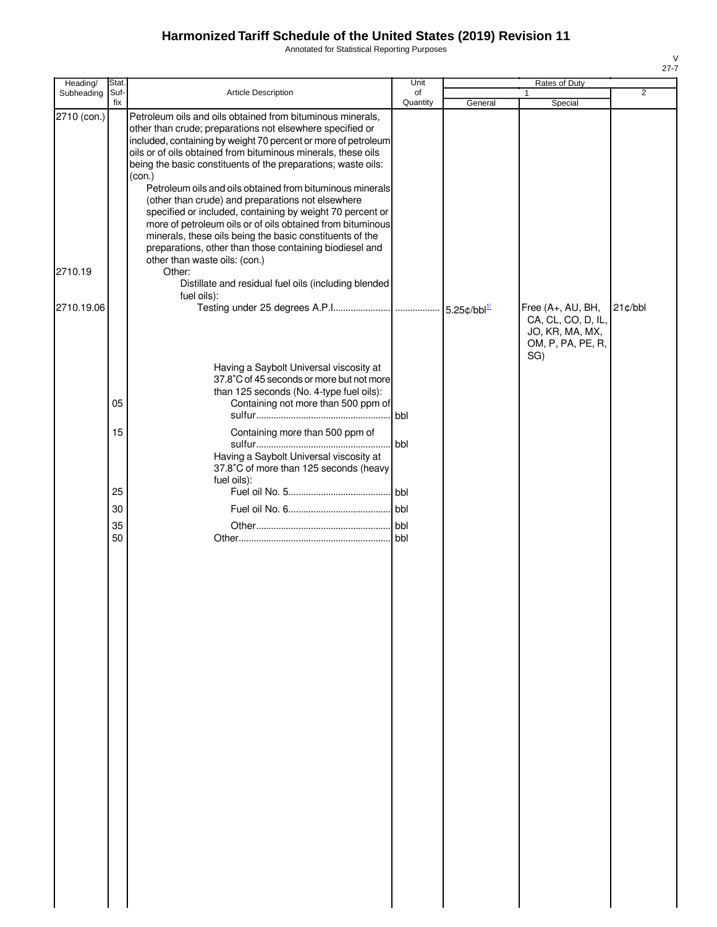Annotated for Statistical Reporting Purposes

| Heading/    | Stat.       |                                                                                                                                                                                                                                                                                                                                                                                                                                                                                                                                                                                                                                                                                                                                            | Unit           | Rates of Duty |                                                                                        |            |  |
|-------------|-------------|--------------------------------------------------------------------------------------------------------------------------------------------------------------------------------------------------------------------------------------------------------------------------------------------------------------------------------------------------------------------------------------------------------------------------------------------------------------------------------------------------------------------------------------------------------------------------------------------------------------------------------------------------------------------------------------------------------------------------------------------|----------------|---------------|----------------------------------------------------------------------------------------|------------|--|
| Subheading  | Suf-<br>fix | <b>Article Description</b>                                                                                                                                                                                                                                                                                                                                                                                                                                                                                                                                                                                                                                                                                                                 | of<br>Quantity | General       | Special                                                                                | 2          |  |
| 2710 (con.) |             | Petroleum oils and oils obtained from bituminous minerals,<br>other than crude; preparations not elsewhere specified or<br>included, containing by weight 70 percent or more of petroleum<br>oils or of oils obtained from bituminous minerals, these oils<br>being the basic constituents of the preparations; waste oils:<br>(con.)<br>Petroleum oils and oils obtained from bituminous minerals<br>(other than crude) and preparations not elsewhere<br>specified or included, containing by weight 70 percent or<br>more of petroleum oils or of oils obtained from bituminous<br>minerals, these oils being the basic constituents of the<br>preparations, other than those containing biodiesel and<br>other than waste oils: (con.) |                |               |                                                                                        |            |  |
| 2710.19     |             | Other:<br>Distillate and residual fuel oils (including blended<br>fuel oils):                                                                                                                                                                                                                                                                                                                                                                                                                                                                                                                                                                                                                                                              |                |               |                                                                                        |            |  |
| 2710.19.06  |             | Having a Saybolt Universal viscosity at<br>37.8°C of 45 seconds or more but not more                                                                                                                                                                                                                                                                                                                                                                                                                                                                                                                                                                                                                                                       |                |               | Free (A+, AU, BH,<br>CA, CL, CO, D, IL,<br>JO, KR, MA, MX,<br>OM, P, PA, PE, R,<br>SG) | $21$ ¢/bbl |  |
|             | 05          | than 125 seconds (No. 4-type fuel oils):<br>Containing not more than 500 ppm of                                                                                                                                                                                                                                                                                                                                                                                                                                                                                                                                                                                                                                                            | bbl            |               |                                                                                        |            |  |
|             | 15          | Containing more than 500 ppm of<br>Having a Saybolt Universal viscosity at<br>37.8°C of more than 125 seconds (heavy                                                                                                                                                                                                                                                                                                                                                                                                                                                                                                                                                                                                                       | bbl            |               |                                                                                        |            |  |
|             | 25          | fuel oils):                                                                                                                                                                                                                                                                                                                                                                                                                                                                                                                                                                                                                                                                                                                                | bbl.           |               |                                                                                        |            |  |
|             | 30          |                                                                                                                                                                                                                                                                                                                                                                                                                                                                                                                                                                                                                                                                                                                                            | bbl            |               |                                                                                        |            |  |
|             | 35          |                                                                                                                                                                                                                                                                                                                                                                                                                                                                                                                                                                                                                                                                                                                                            | . bbl          |               |                                                                                        |            |  |
|             | 50          |                                                                                                                                                                                                                                                                                                                                                                                                                                                                                                                                                                                                                                                                                                                                            | bbl            |               |                                                                                        |            |  |
|             |             |                                                                                                                                                                                                                                                                                                                                                                                                                                                                                                                                                                                                                                                                                                                                            |                |               |                                                                                        |            |  |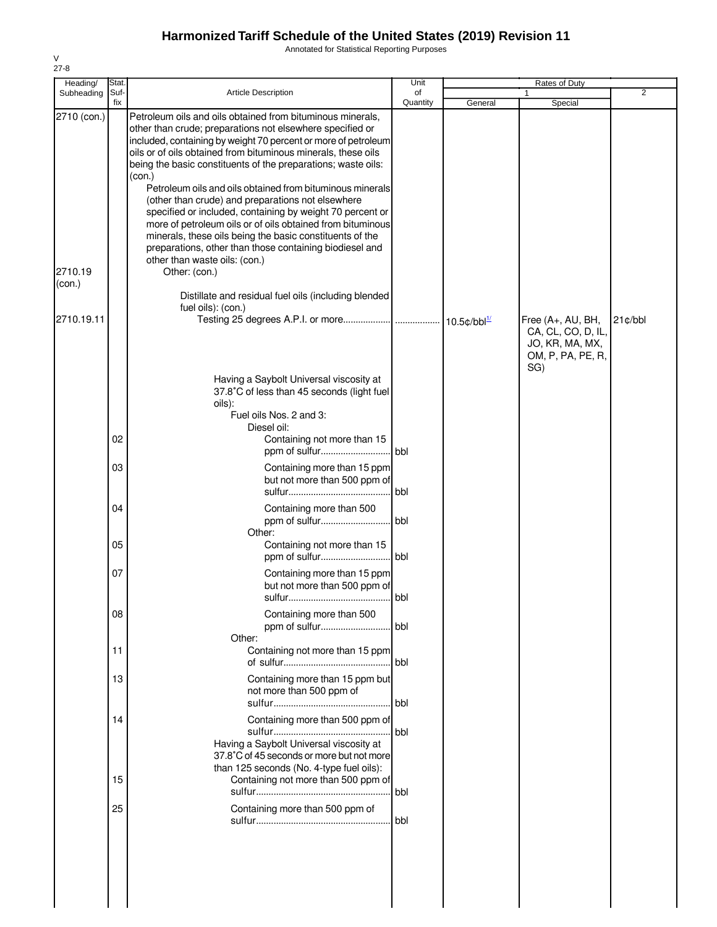Annotated for Statistical Reporting Purposes

| Heading/                         | Stat.       |                                                                                                                                                                                                                                                                                                                                                                                                                                                                                                                                                                                                                                                                                                                                                                                                                     | Unit           | <b>Rates of Duty</b>       |                                                                                 |            |
|----------------------------------|-------------|---------------------------------------------------------------------------------------------------------------------------------------------------------------------------------------------------------------------------------------------------------------------------------------------------------------------------------------------------------------------------------------------------------------------------------------------------------------------------------------------------------------------------------------------------------------------------------------------------------------------------------------------------------------------------------------------------------------------------------------------------------------------------------------------------------------------|----------------|----------------------------|---------------------------------------------------------------------------------|------------|
| Subheading                       | Suf-<br>fix | <b>Article Description</b>                                                                                                                                                                                                                                                                                                                                                                                                                                                                                                                                                                                                                                                                                                                                                                                          | of<br>Quantity | General                    | 1<br>Special                                                                    | 2          |
| 2710 (con.)<br>2710.19<br>(con.) |             | Petroleum oils and oils obtained from bituminous minerals,<br>other than crude; preparations not elsewhere specified or<br>included, containing by weight 70 percent or more of petroleum<br>oils or of oils obtained from bituminous minerals, these oils<br>being the basic constituents of the preparations; waste oils:<br>(con.)<br>Petroleum oils and oils obtained from bituminous minerals<br>(other than crude) and preparations not elsewhere<br>specified or included, containing by weight 70 percent or<br>more of petroleum oils or of oils obtained from bituminous<br>minerals, these oils being the basic constituents of the<br>preparations, other than those containing biodiesel and<br>other than waste oils: (con.)<br>Other: (con.)<br>Distillate and residual fuel oils (including blended |                |                            |                                                                                 |            |
| 2710.19.11                       |             | fuel oils): (con.)                                                                                                                                                                                                                                                                                                                                                                                                                                                                                                                                                                                                                                                                                                                                                                                                  |                | $10.5$ ¢/bbl $\frac{1}{2}$ | Free (A+, AU, BH,<br>CA, CL, CO, D, IL,<br>JO, KR, MA, MX,<br>OM, P, PA, PE, R, | $21$ ¢/bbl |
|                                  |             | Having a Saybolt Universal viscosity at<br>37.8°C of less than 45 seconds (light fuel<br>oils):<br>Fuel oils Nos. 2 and 3:                                                                                                                                                                                                                                                                                                                                                                                                                                                                                                                                                                                                                                                                                          |                |                            | SG)                                                                             |            |
|                                  | 02          | Diesel oil:<br>Containing not more than 15                                                                                                                                                                                                                                                                                                                                                                                                                                                                                                                                                                                                                                                                                                                                                                          |                |                            |                                                                                 |            |
|                                  | 03          | Containing more than 15 ppm<br>but not more than 500 ppm of                                                                                                                                                                                                                                                                                                                                                                                                                                                                                                                                                                                                                                                                                                                                                         | bbl            |                            |                                                                                 |            |
|                                  | 04          | Containing more than 500<br>ppm of sulfur<br>Other:                                                                                                                                                                                                                                                                                                                                                                                                                                                                                                                                                                                                                                                                                                                                                                 | <b>bbl</b>     |                            |                                                                                 |            |
|                                  | 05          | Containing not more than 15                                                                                                                                                                                                                                                                                                                                                                                                                                                                                                                                                                                                                                                                                                                                                                                         |                |                            |                                                                                 |            |
|                                  | 07          | Containing more than 15 ppm<br>but not more than 500 ppm of                                                                                                                                                                                                                                                                                                                                                                                                                                                                                                                                                                                                                                                                                                                                                         |                |                            |                                                                                 |            |
|                                  | 08          | Containing more than 500<br>ppm of sulfur<br>Other:                                                                                                                                                                                                                                                                                                                                                                                                                                                                                                                                                                                                                                                                                                                                                                 | <b>bbl</b>     |                            |                                                                                 |            |
|                                  | 11          | Containing not more than 15 ppm                                                                                                                                                                                                                                                                                                                                                                                                                                                                                                                                                                                                                                                                                                                                                                                     |                |                            |                                                                                 |            |
|                                  | 13          | Containing more than 15 ppm but<br>not more than 500 ppm of                                                                                                                                                                                                                                                                                                                                                                                                                                                                                                                                                                                                                                                                                                                                                         | <b>bbl</b>     |                            |                                                                                 |            |
|                                  | 14          | Containing more than 500 ppm of<br>Having a Saybolt Universal viscosity at<br>37.8°C of 45 seconds or more but not more<br>than 125 seconds (No. 4-type fuel oils):                                                                                                                                                                                                                                                                                                                                                                                                                                                                                                                                                                                                                                                 | <b>bbl</b>     |                            |                                                                                 |            |
|                                  | 15          | Containing not more than 500 ppm of                                                                                                                                                                                                                                                                                                                                                                                                                                                                                                                                                                                                                                                                                                                                                                                 |                |                            |                                                                                 |            |
|                                  | 25          | Containing more than 500 ppm of                                                                                                                                                                                                                                                                                                                                                                                                                                                                                                                                                                                                                                                                                                                                                                                     | <b>bbl</b>     |                            |                                                                                 |            |
|                                  |             |                                                                                                                                                                                                                                                                                                                                                                                                                                                                                                                                                                                                                                                                                                                                                                                                                     |                |                            |                                                                                 |            |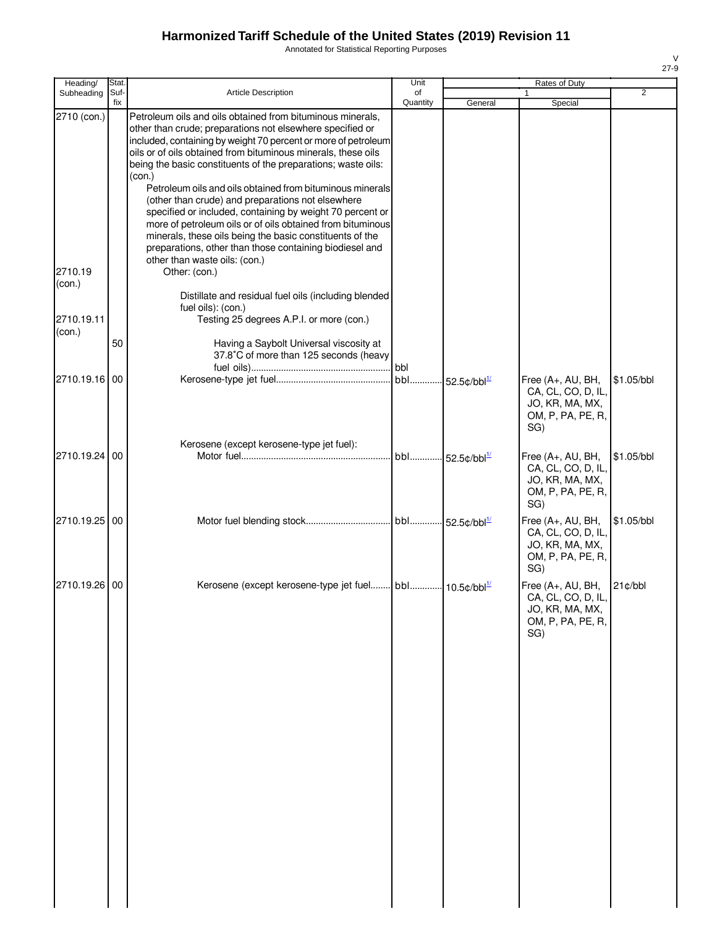Annotated for Statistical Reporting Purposes

| Heading/             | Stat.       |                                                                                                                                                                                                                                                                                                                                                                                                                                                                                                                                                                                                                                                                                                           | Unit           |                             | Rates of Duty                                                                          |                |
|----------------------|-------------|-----------------------------------------------------------------------------------------------------------------------------------------------------------------------------------------------------------------------------------------------------------------------------------------------------------------------------------------------------------------------------------------------------------------------------------------------------------------------------------------------------------------------------------------------------------------------------------------------------------------------------------------------------------------------------------------------------------|----------------|-----------------------------|----------------------------------------------------------------------------------------|----------------|
| Subheading           | Suf-<br>fix | Article Description                                                                                                                                                                                                                                                                                                                                                                                                                                                                                                                                                                                                                                                                                       | of<br>Quantity | General                     | Special                                                                                | $\overline{2}$ |
| 2710 (con.)          |             | Petroleum oils and oils obtained from bituminous minerals,<br>other than crude; preparations not elsewhere specified or<br>included, containing by weight 70 percent or more of petroleum<br>oils or of oils obtained from bituminous minerals, these oils<br>being the basic constituents of the preparations; waste oils:<br>(con.)<br>Petroleum oils and oils obtained from bituminous minerals<br>(other than crude) and preparations not elsewhere<br>specified or included, containing by weight 70 percent or<br>more of petroleum oils or of oils obtained from bituminous<br>minerals, these oils being the basic constituents of the<br>preparations, other than those containing biodiesel and |                |                             |                                                                                        |                |
| 2710.19<br>(con.)    |             | other than waste oils: (con.)<br>Other: (con.)                                                                                                                                                                                                                                                                                                                                                                                                                                                                                                                                                                                                                                                            |                |                             |                                                                                        |                |
| 2710.19.11<br>(con.) |             | Distillate and residual fuel oils (including blended<br>fuel oils): (con.)<br>Testing 25 degrees A.P.I. or more (con.)                                                                                                                                                                                                                                                                                                                                                                                                                                                                                                                                                                                    |                |                             |                                                                                        |                |
|                      | 50          | Having a Saybolt Universal viscosity at<br>37.8°C of more than 125 seconds (heavy                                                                                                                                                                                                                                                                                                                                                                                                                                                                                                                                                                                                                         |                |                             |                                                                                        |                |
| 2710.19.16 00        |             |                                                                                                                                                                                                                                                                                                                                                                                                                                                                                                                                                                                                                                                                                                           | . bbl          | $\cdot$ .52.5¢/bbl $^{1/2}$ | Free (A+, AU, BH,<br>CA, CL, CO, D, IL,<br>JO, KR, MA, MX,<br>OM, P, PA, PE, R,<br>SG) | \$1.05/bbl     |
| 2710.19.24 00        |             | Kerosene (except kerosene-type jet fuel):                                                                                                                                                                                                                                                                                                                                                                                                                                                                                                                                                                                                                                                                 |                | bbl 52.5¢/bbl <sup>1/</sup> | Free (A+, AU, BH,<br>CA, CL, CO, D, IL,<br>JO, KR, MA, MX,<br>OM, P, PA, PE, R,<br>SG) | \$1.05/bbl     |
| 2710.19.25 00        |             |                                                                                                                                                                                                                                                                                                                                                                                                                                                                                                                                                                                                                                                                                                           |                |                             | Free (A+, AU, BH,<br>CA, CL, CO, D, IL,<br>JO, KR, MA, MX,<br>OM, P, PA, PE, R,<br>SG) | \$1.05/bbl     |
| 2710.19.26 00        |             | Kerosene (except kerosene-type jet fuel bbl 10.5¢/bbl <sup>1/2</sup>                                                                                                                                                                                                                                                                                                                                                                                                                                                                                                                                                                                                                                      |                |                             | Free (A+, AU, BH,<br>CA, CL, CO, D, IL,<br>JO, KR, MA, MX,<br>OM, P, PA, PE, R,<br>SG) | $21$ ¢/bbl     |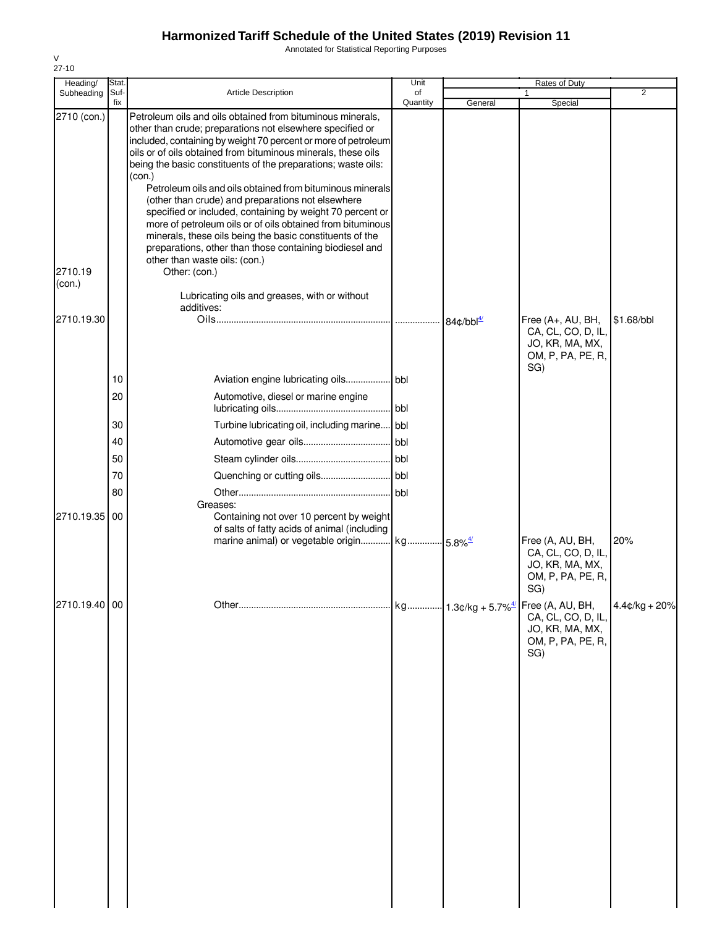Annotated for Statistical Reporting Purposes

| Heading/                         | Stat.          |                                                                                                                                                                                                                                                                                                                                                                                                                                                                                                                                                                                                                                                                                                                                                                                                              | Unit           |                                                  | Rates of Duty                                                                         |                 |
|----------------------------------|----------------|--------------------------------------------------------------------------------------------------------------------------------------------------------------------------------------------------------------------------------------------------------------------------------------------------------------------------------------------------------------------------------------------------------------------------------------------------------------------------------------------------------------------------------------------------------------------------------------------------------------------------------------------------------------------------------------------------------------------------------------------------------------------------------------------------------------|----------------|--------------------------------------------------|---------------------------------------------------------------------------------------|-----------------|
| Subheading                       | Suf-<br>fix    | <b>Article Description</b>                                                                                                                                                                                                                                                                                                                                                                                                                                                                                                                                                                                                                                                                                                                                                                                   | of<br>Quantity | General                                          | 1<br>Special                                                                          | 2               |
| 2710 (con.)<br>2710.19<br>(con.) |                | Petroleum oils and oils obtained from bituminous minerals,<br>other than crude; preparations not elsewhere specified or<br>included, containing by weight 70 percent or more of petroleum<br>oils or of oils obtained from bituminous minerals, these oils<br>being the basic constituents of the preparations; waste oils:<br>(con.)<br>Petroleum oils and oils obtained from bituminous minerals<br>(other than crude) and preparations not elsewhere<br>specified or included, containing by weight 70 percent or<br>more of petroleum oils or of oils obtained from bituminous<br>minerals, these oils being the basic constituents of the<br>preparations, other than those containing biodiesel and<br>other than waste oils: (con.)<br>Other: (con.)<br>Lubricating oils and greases, with or without |                |                                                  |                                                                                       |                 |
| 2710.19.30                       |                | additives:                                                                                                                                                                                                                                                                                                                                                                                                                                                                                                                                                                                                                                                                                                                                                                                                   |                | $84¢/bbl^4$                                      | Free (A+, AU, BH,<br>CA, CL, CO, D, IL,                                               | \$1.68/bbl      |
|                                  | 10<br>20<br>30 | Aviation engine lubricating oils bbl<br>Automotive, diesel or marine engine<br>Turbine lubricating oil, including marine                                                                                                                                                                                                                                                                                                                                                                                                                                                                                                                                                                                                                                                                                     | bbl<br>bbl     |                                                  | JO, KR, MA, MX,<br>OM, P, PA, PE, R,<br>SG)                                           |                 |
|                                  | 40             |                                                                                                                                                                                                                                                                                                                                                                                                                                                                                                                                                                                                                                                                                                                                                                                                              | l bbl          |                                                  |                                                                                       |                 |
|                                  | 50             |                                                                                                                                                                                                                                                                                                                                                                                                                                                                                                                                                                                                                                                                                                                                                                                                              |                |                                                  |                                                                                       |                 |
|                                  | 70             |                                                                                                                                                                                                                                                                                                                                                                                                                                                                                                                                                                                                                                                                                                                                                                                                              |                |                                                  |                                                                                       |                 |
|                                  | 80             |                                                                                                                                                                                                                                                                                                                                                                                                                                                                                                                                                                                                                                                                                                                                                                                                              | bbl            |                                                  |                                                                                       |                 |
| 2710.19.35 00                    |                | Greases:<br>Containing not over 10 percent by weight<br>of salts of fatty acids of animal (including<br>marine animal) or vegetable origin kg 5.8% <sup>4/</sup>                                                                                                                                                                                                                                                                                                                                                                                                                                                                                                                                                                                                                                             |                |                                                  | Free (A, AU, BH,<br>CA, CL, CO, D, IL,<br>JO, KR, MA, MX,<br>OM, P, PA, PE, R,<br>SG) | 20%             |
| 2710.19.40 00                    |                |                                                                                                                                                                                                                                                                                                                                                                                                                                                                                                                                                                                                                                                                                                                                                                                                              |                | kg 1.3¢/kg + 5.7% <sup>4/</sup> Free (A, AU, BH, | CA, CL, CO, D, IL,<br>JO, KR, MA, MX,<br>OM, P, PA, PE, R,<br>SG)                     | $4.4¢/kg + 20%$ |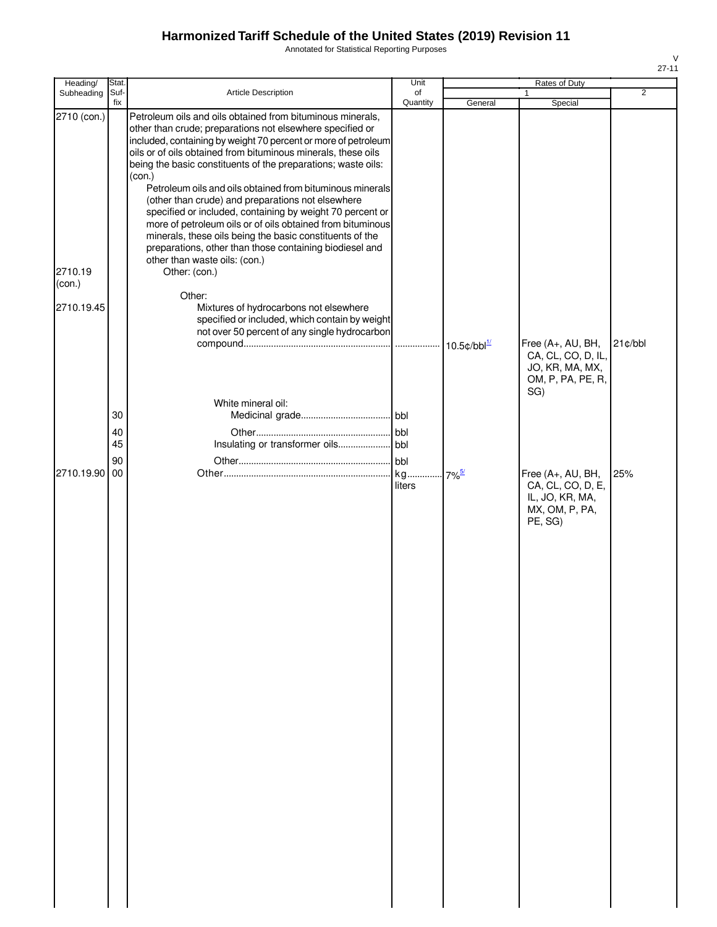Annotated for Statistical Reporting Purposes

| Heading/          | Stat.          |                                                                                                                                                                                                                                                                                                                                                                                                                                                                                                                                                                                                                                                                                                                                            | Unit                |                     | Rates of Duty                                                                          |                |
|-------------------|----------------|--------------------------------------------------------------------------------------------------------------------------------------------------------------------------------------------------------------------------------------------------------------------------------------------------------------------------------------------------------------------------------------------------------------------------------------------------------------------------------------------------------------------------------------------------------------------------------------------------------------------------------------------------------------------------------------------------------------------------------------------|---------------------|---------------------|----------------------------------------------------------------------------------------|----------------|
| Subheading        | Suf-<br>fix    | Article Description                                                                                                                                                                                                                                                                                                                                                                                                                                                                                                                                                                                                                                                                                                                        | of<br>Quantity      | General             | Special                                                                                | $\overline{2}$ |
| 2710 (con.)       |                | Petroleum oils and oils obtained from bituminous minerals,<br>other than crude; preparations not elsewhere specified or<br>included, containing by weight 70 percent or more of petroleum<br>oils or of oils obtained from bituminous minerals, these oils<br>being the basic constituents of the preparations; waste oils:<br>(con.)<br>Petroleum oils and oils obtained from bituminous minerals<br>(other than crude) and preparations not elsewhere<br>specified or included, containing by weight 70 percent or<br>more of petroleum oils or of oils obtained from bituminous<br>minerals, these oils being the basic constituents of the<br>preparations, other than those containing biodiesel and<br>other than waste oils: (con.) |                     |                     |                                                                                        |                |
| 2710.19<br>(con.) |                | Other: (con.)                                                                                                                                                                                                                                                                                                                                                                                                                                                                                                                                                                                                                                                                                                                              |                     |                     |                                                                                        |                |
| 2710.19.45        |                | Other:<br>Mixtures of hydrocarbons not elsewhere<br>specified or included, which contain by weight<br>not over 50 percent of any single hydrocarbon                                                                                                                                                                                                                                                                                                                                                                                                                                                                                                                                                                                        |                     |                     | Free (A+, AU, BH,<br>CA, CL, CO, D, IL,<br>JO, KR, MA, MX,                             | 21¢/bbl        |
|                   | 30<br>40<br>45 | White mineral oil:                                                                                                                                                                                                                                                                                                                                                                                                                                                                                                                                                                                                                                                                                                                         | bbl                 |                     | OM, P, PA, PE, R,<br>SG)                                                               |                |
| 2710.19.90        | 90<br>00       |                                                                                                                                                                                                                                                                                                                                                                                                                                                                                                                                                                                                                                                                                                                                            | bbl<br>kg<br>liters | $7\%$ <sup>5/</sup> | Free (A+, AU, BH,<br>CA, CL, CO, D, E,<br>IL, JO, KR, MA,<br>MX, OM, P, PA,<br>PE, SG) | 25%            |
|                   |                |                                                                                                                                                                                                                                                                                                                                                                                                                                                                                                                                                                                                                                                                                                                                            |                     |                     |                                                                                        |                |
|                   |                |                                                                                                                                                                                                                                                                                                                                                                                                                                                                                                                                                                                                                                                                                                                                            |                     |                     |                                                                                        |                |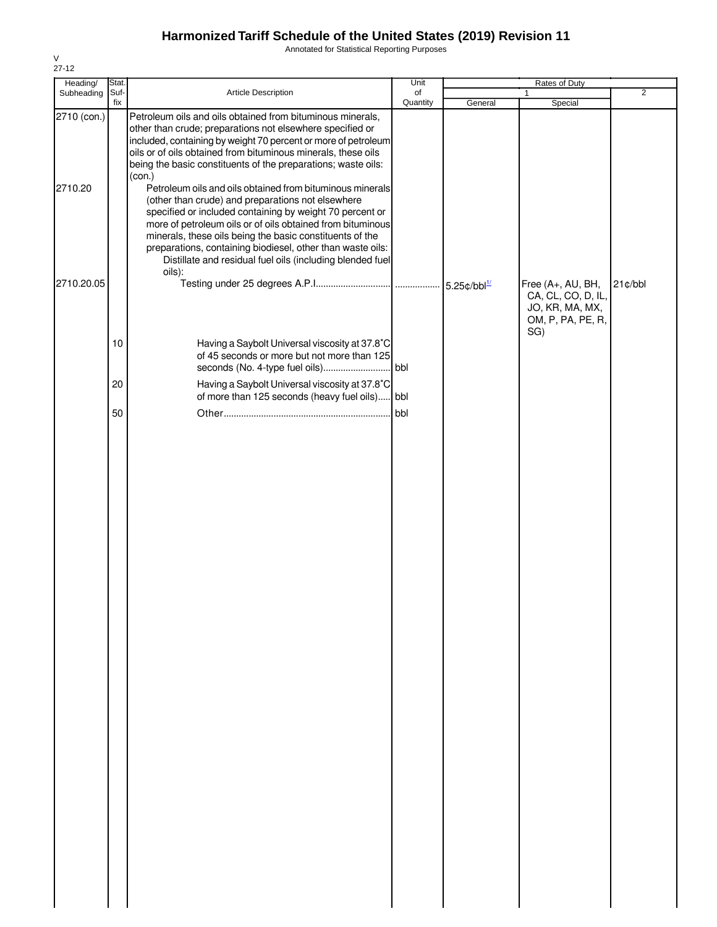Annotated for Statistical Reporting Purposes

| Heading/    | Stat. |                                                                                                                                                                                                                                                                                                                                                                                                                                           | Unit     |         | Rates of Duty                                                                   |         |
|-------------|-------|-------------------------------------------------------------------------------------------------------------------------------------------------------------------------------------------------------------------------------------------------------------------------------------------------------------------------------------------------------------------------------------------------------------------------------------------|----------|---------|---------------------------------------------------------------------------------|---------|
| Subheading  | Suf-  | Article Description                                                                                                                                                                                                                                                                                                                                                                                                                       | of       |         |                                                                                 | 2       |
| 2710 (con.) | fix   | Petroleum oils and oils obtained from bituminous minerals,                                                                                                                                                                                                                                                                                                                                                                                | Quantity | General | Special                                                                         |         |
|             |       | other than crude; preparations not elsewhere specified or<br>included, containing by weight 70 percent or more of petroleum<br>oils or of oils obtained from bituminous minerals, these oils<br>being the basic constituents of the preparations; waste oils:<br>(con.)                                                                                                                                                                   |          |         |                                                                                 |         |
| 2710.20     |       | Petroleum oils and oils obtained from bituminous minerals<br>(other than crude) and preparations not elsewhere<br>specified or included containing by weight 70 percent or<br>more of petroleum oils or of oils obtained from bituminous<br>minerals, these oils being the basic constituents of the<br>preparations, containing biodiesel, other than waste oils:<br>Distillate and residual fuel oils (including blended fuel<br>oils): |          |         |                                                                                 |         |
| 2710.20.05  |       |                                                                                                                                                                                                                                                                                                                                                                                                                                           |          |         | Free (A+, AU, BH,<br>CA, CL, CO, D, IL,<br>JO, KR, MA, MX,<br>OM, P, PA, PE, R, | 21¢/bbl |
|             | 10    | Having a Saybolt Universal viscosity at 37.8°C<br>of 45 seconds or more but not more than 125                                                                                                                                                                                                                                                                                                                                             |          |         | SG)                                                                             |         |
|             | 20    | Having a Saybolt Universal viscosity at 37.8°C<br>of more than 125 seconds (heavy fuel oils) bbl                                                                                                                                                                                                                                                                                                                                          |          |         |                                                                                 |         |
|             | 50    |                                                                                                                                                                                                                                                                                                                                                                                                                                           | bbl      |         |                                                                                 |         |
|             |       |                                                                                                                                                                                                                                                                                                                                                                                                                                           |          |         |                                                                                 |         |
|             |       |                                                                                                                                                                                                                                                                                                                                                                                                                                           |          |         |                                                                                 |         |
|             |       |                                                                                                                                                                                                                                                                                                                                                                                                                                           |          |         |                                                                                 |         |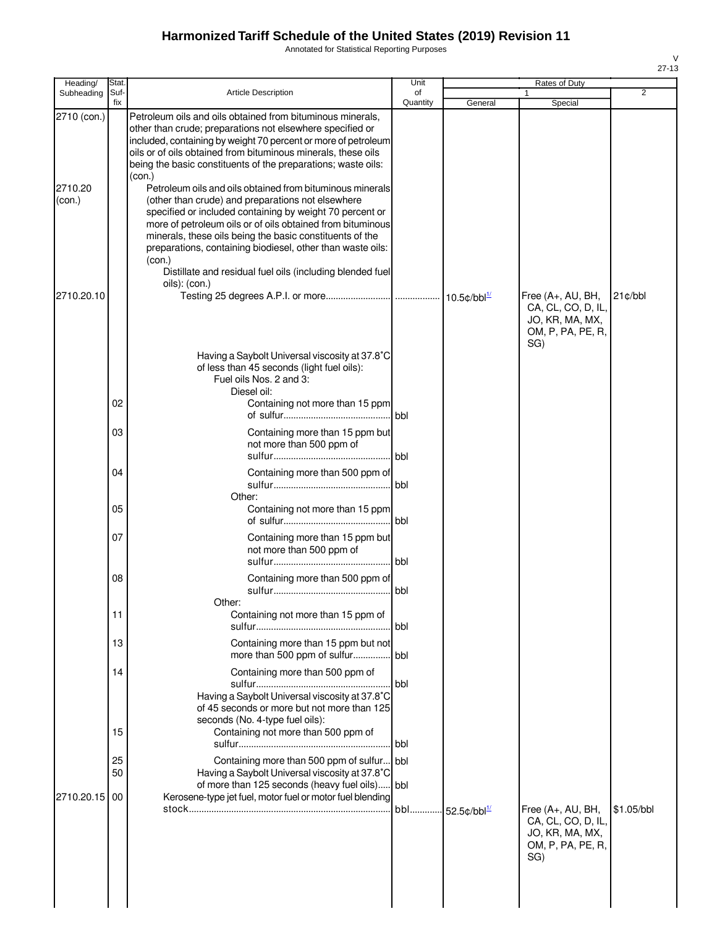Annotated for Statistical Reporting Purposes

| Heading/                         | Stat.       |                                                                                                                                                                                                                                                                                                                                                                                                                                                         | Unit           |                             | Rates of Duty                                                                          |            |
|----------------------------------|-------------|---------------------------------------------------------------------------------------------------------------------------------------------------------------------------------------------------------------------------------------------------------------------------------------------------------------------------------------------------------------------------------------------------------------------------------------------------------|----------------|-----------------------------|----------------------------------------------------------------------------------------|------------|
| Subheading                       | Suf-<br>fix | <b>Article Description</b>                                                                                                                                                                                                                                                                                                                                                                                                                              | of<br>Quantity | General                     | 1<br>Special                                                                           | 2          |
| 2710 (con.)<br>2710.20<br>(con.) |             | Petroleum oils and oils obtained from bituminous minerals,<br>other than crude; preparations not elsewhere specified or<br>included, containing by weight 70 percent or more of petroleum<br>oils or of oils obtained from bituminous minerals, these oils<br>being the basic constituents of the preparations; waste oils:<br>(con.)<br>Petroleum oils and oils obtained from bituminous minerals<br>(other than crude) and preparations not elsewhere |                |                             |                                                                                        |            |
|                                  |             | specified or included containing by weight 70 percent or<br>more of petroleum oils or of oils obtained from bituminous<br>minerals, these oils being the basic constituents of the<br>preparations, containing biodiesel, other than waste oils:<br>(con.)<br>Distillate and residual fuel oils (including blended fuel<br>oils): (con.)                                                                                                                |                |                             |                                                                                        |            |
| 2710.20.10                       |             |                                                                                                                                                                                                                                                                                                                                                                                                                                                         |                |                             | Free (A+, AU, BH,<br>CA, CL, CO, D, IL,<br>JO, KR, MA, MX,<br>OM, P, PA, PE, R,<br>SG) | $21$ ¢/bbl |
|                                  | 02          | Having a Saybolt Universal viscosity at 37.8°C<br>of less than 45 seconds (light fuel oils):<br>Fuel oils Nos. 2 and 3:<br>Diesel oil:<br>Containing not more than 15 ppm                                                                                                                                                                                                                                                                               |                |                             |                                                                                        |            |
|                                  |             |                                                                                                                                                                                                                                                                                                                                                                                                                                                         |                |                             |                                                                                        |            |
|                                  | 03          | Containing more than 15 ppm but<br>not more than 500 ppm of                                                                                                                                                                                                                                                                                                                                                                                             |                |                             |                                                                                        |            |
|                                  | 04          | Containing more than 500 ppm of<br>Other:                                                                                                                                                                                                                                                                                                                                                                                                               |                |                             |                                                                                        |            |
|                                  | 05          | Containing not more than 15 ppm                                                                                                                                                                                                                                                                                                                                                                                                                         |                |                             |                                                                                        |            |
|                                  | 07          | Containing more than 15 ppm but<br>not more than 500 ppm of                                                                                                                                                                                                                                                                                                                                                                                             |                |                             |                                                                                        |            |
|                                  | 08          | Containing more than 500 ppm of                                                                                                                                                                                                                                                                                                                                                                                                                         |                |                             |                                                                                        |            |
|                                  | 11          | Other:<br>Containing not more than 15 ppm of                                                                                                                                                                                                                                                                                                                                                                                                            | l bbl          |                             |                                                                                        |            |
|                                  | 13          | Containing more than 15 ppm but not<br>more than 500 ppm of sulfur bbl                                                                                                                                                                                                                                                                                                                                                                                  |                |                             |                                                                                        |            |
|                                  | 14          | Containing more than 500 ppm of<br>Having a Saybolt Universal viscosity at 37.8°C<br>of 45 seconds or more but not more than 125                                                                                                                                                                                                                                                                                                                        | bbl            |                             |                                                                                        |            |
|                                  | 15          | seconds (No. 4-type fuel oils):<br>Containing not more than 500 ppm of                                                                                                                                                                                                                                                                                                                                                                                  | bbl            |                             |                                                                                        |            |
|                                  | 25          | Containing more than 500 ppm of sulfur bbl                                                                                                                                                                                                                                                                                                                                                                                                              |                |                             |                                                                                        |            |
|                                  | 50          | Having a Saybolt Universal viscosity at 37.8°C<br>of more than 125 seconds (heavy fuel oils)                                                                                                                                                                                                                                                                                                                                                            | bbl            |                             |                                                                                        |            |
| 2710.20.15 00                    |             | Kerosene-type jet fuel, motor fuel or motor fuel blending                                                                                                                                                                                                                                                                                                                                                                                               |                | bbl 52.5¢/bbl <sup>1/</sup> | Free (A+, AU, BH,<br>CA, CL, CO, D, IL,<br>JO, KR, MA, MX,<br>OM, P, PA, PE, R,<br>SG) | \$1.05/bbl |
|                                  |             |                                                                                                                                                                                                                                                                                                                                                                                                                                                         |                |                             |                                                                                        |            |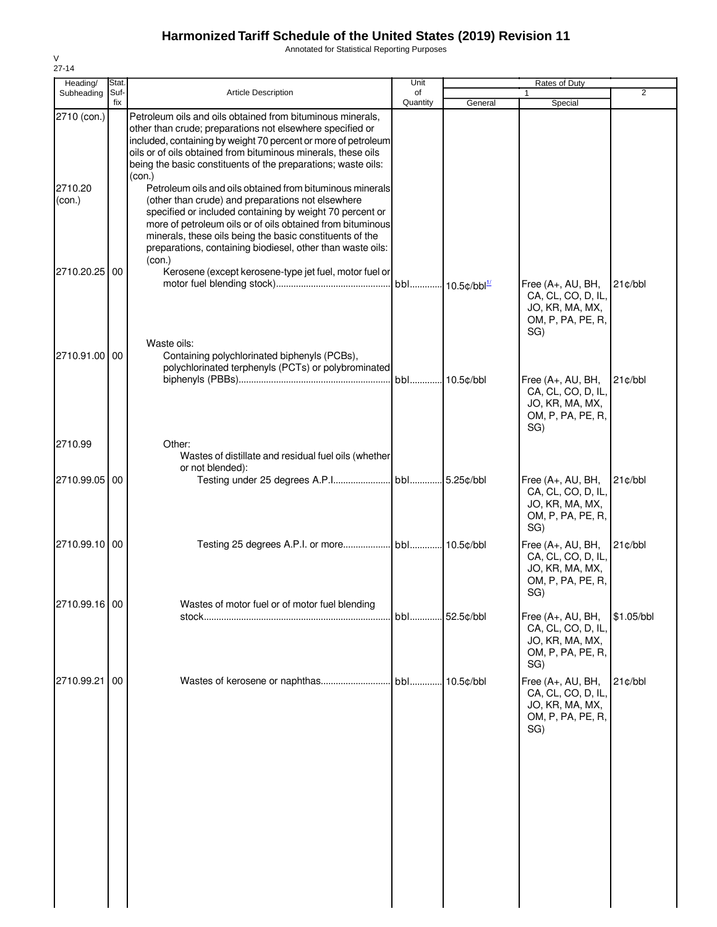Annotated for Statistical Reporting Purposes

| Heading/          | Stat.       |                                                                                                                                                                                                                                                                                                                                                                              | Unit                        |            | Rates of Duty                                                                          |            |
|-------------------|-------------|------------------------------------------------------------------------------------------------------------------------------------------------------------------------------------------------------------------------------------------------------------------------------------------------------------------------------------------------------------------------------|-----------------------------|------------|----------------------------------------------------------------------------------------|------------|
| Subheading        | Suf-<br>fix | <b>Article Description</b>                                                                                                                                                                                                                                                                                                                                                   | of<br>Quantity              | General    | $\mathbf{1}$<br>Special                                                                | 2          |
| 2710 (con.)       |             | Petroleum oils and oils obtained from bituminous minerals,<br>other than crude; preparations not elsewhere specified or<br>included, containing by weight 70 percent or more of petroleum<br>oils or of oils obtained from bituminous minerals, these oils<br>being the basic constituents of the preparations; waste oils:<br>(con.)                                        |                             |            |                                                                                        |            |
| 2710.20<br>(con.) |             | Petroleum oils and oils obtained from bituminous minerals<br>(other than crude) and preparations not elsewhere<br>specified or included containing by weight 70 percent or<br>more of petroleum oils or of oils obtained from bituminous<br>minerals, these oils being the basic constituents of the<br>preparations, containing biodiesel, other than waste oils:<br>(con.) |                             |            |                                                                                        |            |
| 2710.20.25        | 00          | Kerosene (except kerosene-type jet fuel, motor fuel or                                                                                                                                                                                                                                                                                                                       | bbl 10.5¢/bbl <sup>1/</sup> |            | Free (A+, AU, BH,<br>CA, CL, CO, D, IL,<br>JO, KR, MA, MX,<br>OM, P, PA, PE, R,<br>SG) | 21¢/bbl    |
| 2710.91.00 00     |             | Waste oils:<br>Containing polychlorinated biphenyls (PCBs),<br>polychlorinated terphenyls (PCTs) or polybrominated                                                                                                                                                                                                                                                           | bbl 10.5¢/bbl               |            | Free (A+, AU, BH,<br>CA, CL, CO, D, IL,<br>JO, KR, MA, MX,<br>OM, P, PA, PE, R,        | $21$ ¢/bbl |
| 2710.99           |             | Other:<br>Wastes of distillate and residual fuel oils (whether<br>or not blended):                                                                                                                                                                                                                                                                                           |                             |            | SG)                                                                                    |            |
| 2710.99.05 00     |             |                                                                                                                                                                                                                                                                                                                                                                              |                             |            | Free (A+, AU, BH,<br>CA, CL, CO, D, IL,<br>JO, KR, MA, MX,<br>OM, P, PA, PE, R,<br>SG) | 21¢/bbl    |
| 2710.99.10 00     |             |                                                                                                                                                                                                                                                                                                                                                                              |                             |            | Free (A+, AU, BH,<br>CA, CL, CO, D, IL,<br>JO, KR, MA, MX,<br>OM, P, PA, PE, R,<br>SG) | $21$ ¢/bbl |
| 2710.99.16 00     |             | Wastes of motor fuel or of motor fuel blending                                                                                                                                                                                                                                                                                                                               | bbl                         | 52.5¢/bbl  | Free (A+, AU, BH,<br>CA, CL, CO, D, IL,<br>JO, KR, MA, MX,<br>OM, P, PA, PE, R,<br>SG) | \$1.05/bbl |
| 2710.99.21        | 00          | Wastes of kerosene or naphthas                                                                                                                                                                                                                                                                                                                                               | bbl                         | .10.5c/bbl | Free (A+, AU, BH,<br>CA, CL, CO, D, IL,<br>JO, KR, MA, MX,<br>OM, P, PA, PE, R,<br>SG) | $21$ ¢/bbl |
|                   |             |                                                                                                                                                                                                                                                                                                                                                                              |                             |            |                                                                                        |            |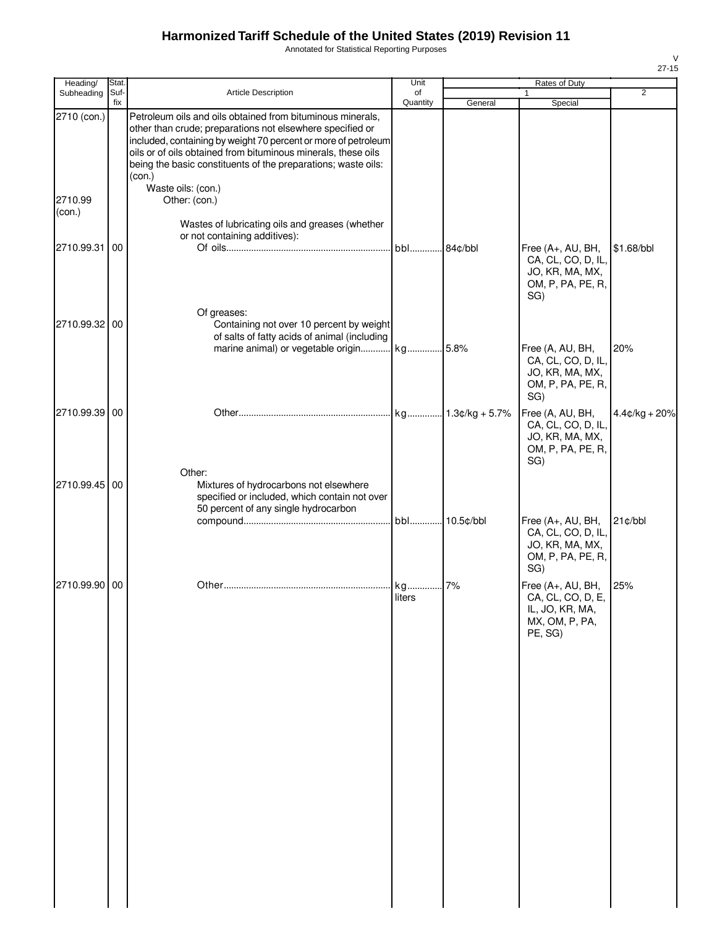Annotated for Statistical Reporting Purposes

| Heading/          | Stat.       |                                                                                                                                                                                                                                                                                                                                       | Unit           |         | Rates of Duty                                                                          |                 |
|-------------------|-------------|---------------------------------------------------------------------------------------------------------------------------------------------------------------------------------------------------------------------------------------------------------------------------------------------------------------------------------------|----------------|---------|----------------------------------------------------------------------------------------|-----------------|
| Subheading        | Suf-<br>fix | Article Description                                                                                                                                                                                                                                                                                                                   | of<br>Quantity | General | Special                                                                                | $\overline{2}$  |
| 2710 (con.)       |             | Petroleum oils and oils obtained from bituminous minerals,<br>other than crude; preparations not elsewhere specified or<br>included, containing by weight 70 percent or more of petroleum<br>oils or of oils obtained from bituminous minerals, these oils<br>being the basic constituents of the preparations; waste oils:<br>(con.) |                |         |                                                                                        |                 |
| 2710.99<br>(con.) |             | Waste oils: (con.)<br>Other: (con.)                                                                                                                                                                                                                                                                                                   |                |         |                                                                                        |                 |
| 2710.99.31        | 00          | Wastes of lubricating oils and greases (whether<br>or not containing additives):                                                                                                                                                                                                                                                      |                |         | Free (A+, AU, BH,                                                                      | \$1.68/bbl      |
|                   |             |                                                                                                                                                                                                                                                                                                                                       |                |         | CA, CL, CO, D, IL,<br>JO, KR, MA, MX,<br>OM, P, PA, PE, R,<br>SG)                      |                 |
| 2710.99.32 00     |             | Of greases:<br>Containing not over 10 percent by weight<br>of salts of fatty acids of animal (including<br>marine animal) or vegetable origin kg 5.8%                                                                                                                                                                                 |                |         | Free (A, AU, BH,                                                                       | 20%             |
|                   |             |                                                                                                                                                                                                                                                                                                                                       |                |         | CA, CL, CO, D, IL,<br>JO, KR, MA, MX,<br>OM, P, PA, PE, R,<br>SG)                      |                 |
| 2710.99.39 00     |             |                                                                                                                                                                                                                                                                                                                                       |                |         | Free (A, AU, BH,<br>CA, CL, CO, D, IL,<br>JO, KR, MA, MX,<br>OM, P, PA, PE, R,<br>SG)  | $4.4¢/kg + 20%$ |
| 2710.99.45 00     |             | Other:<br>Mixtures of hydrocarbons not elsewhere<br>specified or included, which contain not over<br>50 percent of any single hydrocarbon                                                                                                                                                                                             |                |         |                                                                                        |                 |
|                   |             |                                                                                                                                                                                                                                                                                                                                       |                |         | Free (A+, AU, BH,<br>CA, CL, CO, D, IL,<br>JO, KR, MA, MX,<br>OM, P, PA, PE, R,<br>SG) | 21¢/bbl         |
| 2710.99.90 00     |             |                                                                                                                                                                                                                                                                                                                                       | liters         |         | Free (A+, AU, BH,<br>CA, CL, CO, D, E,<br>IL, JO, KR, MA,<br>MX, OM, P, PA,<br>PE, SG) | 25%             |
|                   |             |                                                                                                                                                                                                                                                                                                                                       |                |         |                                                                                        |                 |
|                   |             |                                                                                                                                                                                                                                                                                                                                       |                |         |                                                                                        |                 |
|                   |             |                                                                                                                                                                                                                                                                                                                                       |                |         |                                                                                        |                 |
|                   |             |                                                                                                                                                                                                                                                                                                                                       |                |         |                                                                                        |                 |
|                   |             |                                                                                                                                                                                                                                                                                                                                       |                |         |                                                                                        |                 |
|                   |             |                                                                                                                                                                                                                                                                                                                                       |                |         |                                                                                        |                 |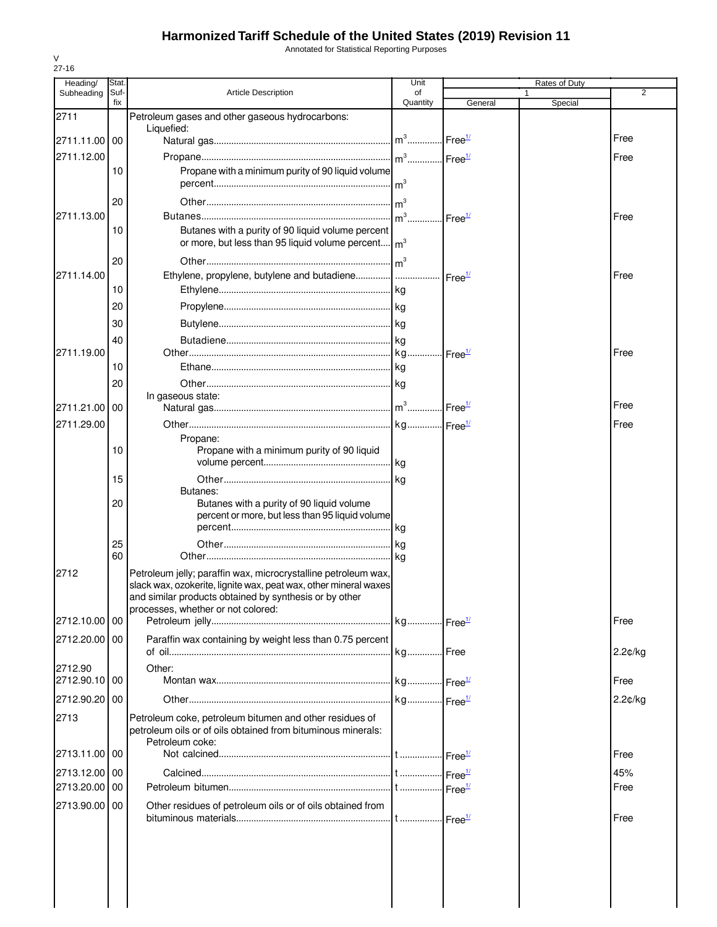Annotated for Statistical Reporting Purposes

| Heading/      | Stat.       |                                                                                                                                                                                                                                    | Unit           |                    | Rates of Duty |                |
|---------------|-------------|------------------------------------------------------------------------------------------------------------------------------------------------------------------------------------------------------------------------------------|----------------|--------------------|---------------|----------------|
| Subheading    | Suf-<br>fix | <b>Article Description</b>                                                                                                                                                                                                         | of<br>Quantity | General            | 1<br>Special  | $\overline{2}$ |
| 2711          |             | Petroleum gases and other gaseous hydrocarbons:                                                                                                                                                                                    |                |                    |               |                |
| 2711.11.00 00 |             | Liquefied:                                                                                                                                                                                                                         |                |                    |               | Free           |
| 2711.12.00    |             |                                                                                                                                                                                                                                    |                |                    |               | Free           |
|               | 10          | Propane with a minimum purity of 90 liquid volume                                                                                                                                                                                  |                |                    |               |                |
|               |             |                                                                                                                                                                                                                                    |                |                    |               |                |
|               | 20          |                                                                                                                                                                                                                                    |                |                    |               |                |
| 2711.13.00    |             |                                                                                                                                                                                                                                    |                | Free <sup>1/</sup> |               | Free           |
|               | 10          | Butanes with a purity of 90 liquid volume percent<br>or more, but less than 95 liquid volume percent $\vert m^3 \vert$                                                                                                             |                |                    |               |                |
|               | 20          |                                                                                                                                                                                                                                    |                |                    |               |                |
| 2711.14.00    |             |                                                                                                                                                                                                                                    |                | Free <sup>1/</sup> |               | Free           |
|               | 10          |                                                                                                                                                                                                                                    |                |                    |               |                |
|               | 20          |                                                                                                                                                                                                                                    |                |                    |               |                |
|               | 30          |                                                                                                                                                                                                                                    |                |                    |               |                |
|               | 40          |                                                                                                                                                                                                                                    |                |                    |               |                |
| 2711.19.00    |             |                                                                                                                                                                                                                                    |                |                    |               | Free           |
|               | 10          |                                                                                                                                                                                                                                    |                |                    |               |                |
|               | 20          |                                                                                                                                                                                                                                    |                |                    |               |                |
|               |             | In gaseous state:                                                                                                                                                                                                                  |                |                    |               | Free           |
| 2711.21.00 00 |             |                                                                                                                                                                                                                                    |                |                    |               |                |
| 2711.29.00    |             |                                                                                                                                                                                                                                    |                |                    |               | Free           |
|               | 10          | Propane:<br>Propane with a minimum purity of 90 liquid                                                                                                                                                                             |                |                    |               |                |
|               | 15          |                                                                                                                                                                                                                                    |                |                    |               |                |
|               |             | Butanes:                                                                                                                                                                                                                           |                |                    |               |                |
|               | 20          | Butanes with a purity of 90 liquid volume<br>percent or more, but less than 95 liquid volume                                                                                                                                       |                |                    |               |                |
|               | 25          |                                                                                                                                                                                                                                    |                |                    |               |                |
|               | 60          |                                                                                                                                                                                                                                    |                |                    |               |                |
| 2712          |             | Petroleum jelly; paraffin wax, microcrystalline petroleum wax,<br>slack wax, ozokerite, lignite wax, peat wax, other mineral waxes<br>and similar products obtained by synthesis or by other<br>processes, whether or not colored: |                |                    |               |                |
| 2712.10.00 00 |             |                                                                                                                                                                                                                                    |                |                    |               | Free           |
| 2712.20.00 00 |             | Paraffin wax containing by weight less than 0.75 percent                                                                                                                                                                           |                |                    |               | 2.2¢/kg        |
| 2712.90       |             | Other:                                                                                                                                                                                                                             |                |                    |               |                |
| 2712.90.10 00 |             |                                                                                                                                                                                                                                    |                |                    |               | Free           |
| 2712.90.20 00 |             |                                                                                                                                                                                                                                    |                |                    |               | 2.2¢/kg        |
| 2713          |             | Petroleum coke, petroleum bitumen and other residues of<br>petroleum oils or of oils obtained from bituminous minerals:<br>Petroleum coke:                                                                                         |                |                    |               |                |
| 2713.11.00 00 |             |                                                                                                                                                                                                                                    |                |                    |               | Free           |
| 2713.12.00 00 |             |                                                                                                                                                                                                                                    |                |                    |               | 45%            |
| 2713.20.00    | 00          |                                                                                                                                                                                                                                    |                |                    |               | Free           |
| 2713.90.00 00 |             | Other residues of petroleum oils or of oils obtained from                                                                                                                                                                          |                |                    |               |                |
|               |             |                                                                                                                                                                                                                                    |                |                    |               | Free           |
|               |             |                                                                                                                                                                                                                                    |                |                    |               |                |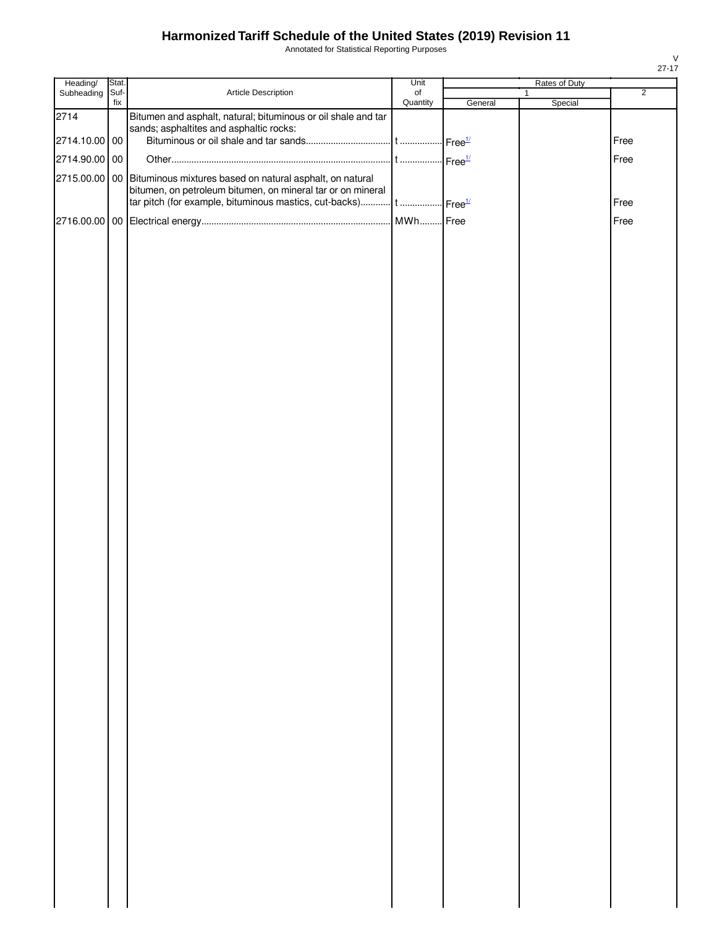Annotated for Statistical Reporting Purposes

| Heading/      | Stat.<br>Suf-<br>Article Description<br>fix | Unit                                                                                                                                  | Rates of Duty         |         |                         |                |
|---------------|---------------------------------------------|---------------------------------------------------------------------------------------------------------------------------------------|-----------------------|---------|-------------------------|----------------|
| Subheading    |                                             |                                                                                                                                       | $\circ$ f<br>Quantity | General | $\mathbf{1}$<br>Special | $\overline{2}$ |
| 2714          |                                             | Bitumen and asphalt, natural; bituminous or oil shale and tar<br>sands; asphaltites and asphaltic rocks:                              |                       |         |                         |                |
| 2714.10.00 00 |                                             |                                                                                                                                       |                       |         |                         | Free           |
| 2714.90.00 00 |                                             |                                                                                                                                       |                       |         |                         | Free           |
|               |                                             | 2715.00.00 00 Bituminous mixtures based on natural asphalt, on natural<br>bitumen, on petroleum bitumen, on mineral tar or on mineral |                       |         |                         |                |
|               |                                             | tar pitch (for example, bituminous mastics, cut-backs) t  Free <sup>1/</sup>                                                          |                       |         |                         | Free           |
|               |                                             |                                                                                                                                       |                       |         |                         | Free           |
|               |                                             |                                                                                                                                       |                       |         |                         |                |
|               |                                             |                                                                                                                                       |                       |         |                         |                |
|               |                                             |                                                                                                                                       |                       |         |                         |                |
|               |                                             |                                                                                                                                       |                       |         |                         |                |
|               |                                             |                                                                                                                                       |                       |         |                         |                |
|               |                                             |                                                                                                                                       |                       |         |                         |                |
|               |                                             |                                                                                                                                       |                       |         |                         |                |
|               |                                             |                                                                                                                                       |                       |         |                         |                |
|               |                                             |                                                                                                                                       |                       |         |                         |                |
|               |                                             |                                                                                                                                       |                       |         |                         |                |
|               |                                             |                                                                                                                                       |                       |         |                         |                |
|               |                                             |                                                                                                                                       |                       |         |                         |                |
|               |                                             |                                                                                                                                       |                       |         |                         |                |
|               |                                             |                                                                                                                                       |                       |         |                         |                |
|               |                                             |                                                                                                                                       |                       |         |                         |                |
|               |                                             |                                                                                                                                       |                       |         |                         |                |
|               |                                             |                                                                                                                                       |                       |         |                         |                |
|               |                                             |                                                                                                                                       |                       |         |                         |                |
|               |                                             |                                                                                                                                       |                       |         |                         |                |
|               |                                             |                                                                                                                                       |                       |         |                         |                |
|               |                                             |                                                                                                                                       |                       |         |                         |                |
|               |                                             |                                                                                                                                       |                       |         |                         |                |
|               |                                             |                                                                                                                                       |                       |         |                         |                |
|               |                                             |                                                                                                                                       |                       |         |                         |                |
|               |                                             |                                                                                                                                       |                       |         |                         |                |
|               |                                             |                                                                                                                                       |                       |         |                         |                |
|               |                                             |                                                                                                                                       |                       |         |                         |                |
|               |                                             |                                                                                                                                       |                       |         |                         |                |
|               |                                             |                                                                                                                                       |                       |         |                         |                |
|               |                                             |                                                                                                                                       |                       |         |                         |                |
|               |                                             |                                                                                                                                       |                       |         |                         |                |
|               |                                             |                                                                                                                                       |                       |         |                         |                |
|               |                                             |                                                                                                                                       |                       |         |                         |                |
|               |                                             |                                                                                                                                       |                       |         |                         |                |
|               |                                             |                                                                                                                                       |                       |         |                         |                |
|               |                                             |                                                                                                                                       |                       |         |                         |                |
|               |                                             |                                                                                                                                       |                       |         |                         |                |
|               |                                             |                                                                                                                                       |                       |         |                         |                |
|               |                                             |                                                                                                                                       |                       |         |                         |                |
|               |                                             |                                                                                                                                       |                       |         |                         |                |
|               |                                             |                                                                                                                                       |                       |         |                         |                |